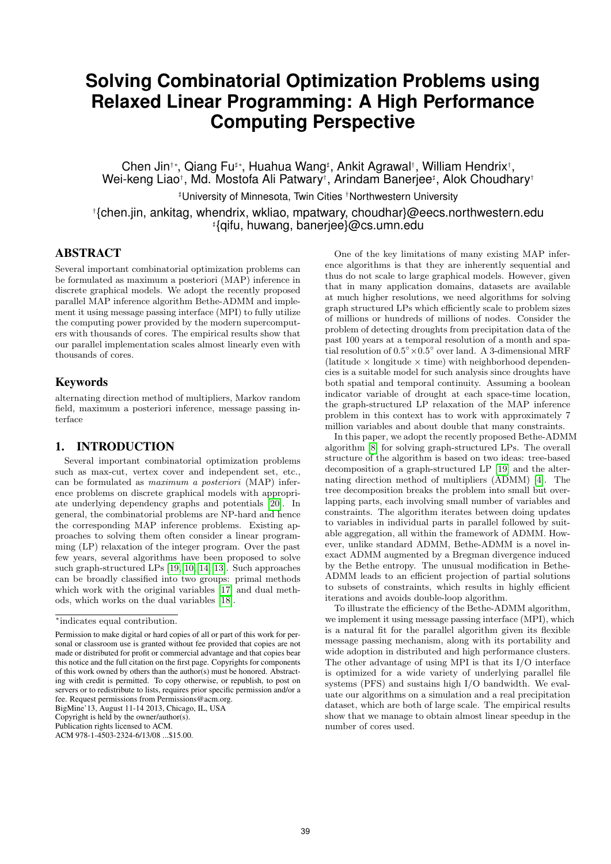# **Solving Combinatorial Optimization Problems using Relaxed Linear Programming: A High Performance Computing Perspective**

Chen Jin†\*, Qiang Fu<sup>#</sup>\*, Huahua Wang<sup>#</sup>, Ankit Agrawal†, William Hendrix†, Wei-keng Liao†, Md. Mostofa Ali Patwary†, Arindam Banerjee! , Alok Choudhary† ! University of Minnesota, Twin Cities †Northwestern University †{chen.jin, ankitag, whendrix, wkliao, mpatwary, choudhar}@eecs.northwestern.edu

! {qifu, huwang, banerjee}@cs.umn.edu

## ABSTRACT

Several important combinatorial optimization problems can be formulated as maximum a posteriori (MAP) inference in discrete graphical models. We adopt the recently proposed parallel MAP inference algorithm Bethe-ADMM and implement it using message passing interface (MPI) to fully utilize the computing power provided by the modern supercomputers with thousands of cores. The empirical results show that our parallel implementation scales almost linearly even with thousands of cores.

#### Keywords

alternating direction method of multipliers, Markov random field, maximum a posteriori inference, message passing interface

## 1. INTRODUCTION

Several important combinatorial optimization problems such as max-cut, vertex cover and independent set, etc., can be formulated as *maximum a posteriori* (MAP) inference problems on discrete graphical models with appropriate underlying dependency graphs and potentials [\[20\]](#page-7-0). In general, the combinatorial problems are NP-hard and hence the corresponding MAP inference problems. Existing approaches to solving them often consider a linear programming (LP) relaxation of the integer program. Over the past few years, several algorithms have been proposed to solve such graph-structured LPs [\[19,](#page-7-1) [10,](#page-7-2) [14,](#page-7-3) [13\]](#page-7-4). Such approaches can be broadly classified into two groups: primal methods which work with the original variables [\[17\]](#page-7-5) and dual methods, which works on the dual variables [\[18\]](#page-7-6).

BigMine'13, August 11-14 2013, Chicago, IL, USA

Copyright is held by the owner/author(s).

Publication rights licensed to ACM.

One of the key limitations of many existing MAP inference algorithms is that they are inherently sequential and thus do not scale to large graphical models. However, given that in many application domains, datasets are available at much higher resolutions, we need algorithms for solving graph structured LPs which efficiently scale to problem sizes of millions or hundreds of millions of nodes. Consider the problem of detecting droughts from precipitation data of the past 100 years at a temporal resolution of a month and spatial resolution of  $0.5° \times 0.5°$  over land. A 3-dimensional MRF (latitude  $\times$  longitude  $\times$  time) with neighborhood dependencies is a suitable model for such analysis since droughts have both spatial and temporal continuity. Assuming a boolean indicator variable of drought at each space-time location, the graph-structured LP relaxation of the MAP inference problem in this context has to work with approximately 7 million variables and about double that many constraints.

In this paper, we adopt the recently proposed Bethe-ADMM algorithm [\[8\]](#page-7-7) for solving graph-structured LPs. The overall structure of the algorithm is based on two ideas: tree-based decomposition of a graph-structured LP [\[19\]](#page-7-1) and the alternating direction method of multipliers (ADMM) [\[4\]](#page-7-8). The tree decomposition breaks the problem into small but overlapping parts, each involving small number of variables and constraints. The algorithm iterates between doing updates to variables in individual parts in parallel followed by suitable aggregation, all within the framework of ADMM. However, unlike standard ADMM, Bethe-ADMM is a novel inexact ADMM augmented by a Bregman divergence induced by the Bethe entropy. The unusual modification in Bethe-ADMM leads to an efficient projection of partial solutions to subsets of constraints, which results in highly efficient iterations and avoids double-loop algorithm.

To illustrate the efficiency of the Bethe-ADMM algorithm, we implement it using message passing interface (MPI), which is a natural fit for the parallel algorithm given its flexible message passing mechanism, along with its portability and wide adoption in distributed and high performance clusters. The other advantage of using MPI is that its I/O interface is optimized for a wide variety of underlying parallel file systems (PFS) and sustains high I/O bandwidth. We evaluate our algorithms on a simulation and a real precipitation dataset, which are both of large scale. The empirical results show that we manage to obtain almost linear speedup in the number of cores used.

<sup>∗</sup>indicates equal contribution.

Permission to make digital or hard copies of all or part of this work for personal or classroom use is granted without fee provided that copies are not made or distributed for profit or commercial advantage and that copies bear this notice and the full citation on the first page. Copyrights for components of this work owned by others than the author(s) must be honored. Abstracting with credit is permitted. To copy otherwise, or republish, to post on servers or to redistribute to lists, requires prior specific permission and/or a fee. Request permissions from Permissions@acm.org.

ACM 978-1-4503-2324-6/13/08 ...\$15.00.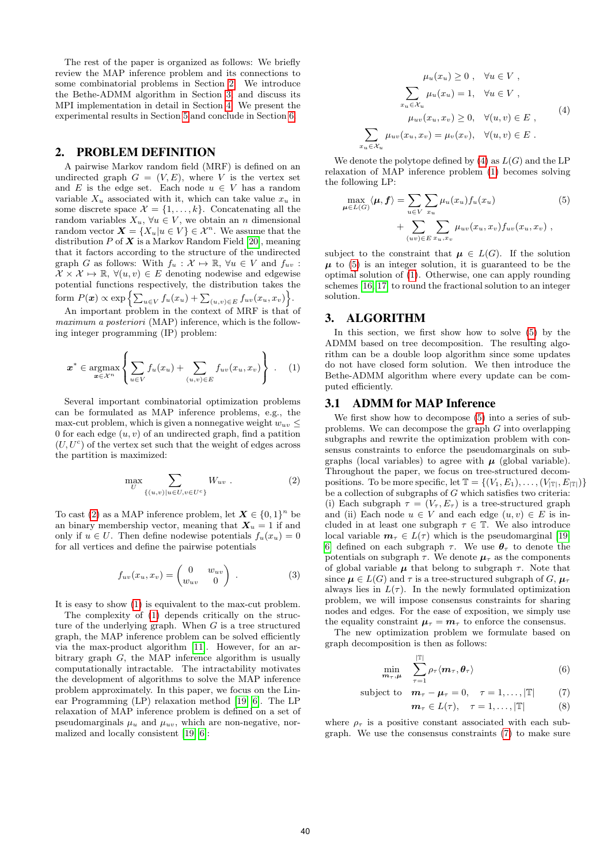The rest of the paper is organized as follows: We briefly review the MAP inference problem and its connections to some combinatorial problems in Section [2.](#page-1-0) We introduce the Bethe-ADMM algorithm in Section [3,](#page-1-1) and discuss its MPI implementation in detail in Section [4.](#page-3-0) We present the experimental results in Section [5](#page-4-0) and conclude in Section [6.](#page-7-9)

#### <span id="page-1-0"></span>2. PROBLEM DEFINITION

A pairwise Markov random field (MRF) is defined on an undirected graph  $G = (V, E)$ , where V is the vertex set and E is the edge set. Each node  $u \in V$  has a random variable  $X_u$  associated with it, which can take value  $x_u$  in some discrete space  $\mathcal{X} = \{1, \ldots, k\}$ . Concatenating all the random variables  $X_u$ ,  $\forall u \in V$ , we obtain an n dimensional random vector  $\mathbf{X} = \{X_u | u \in V\} \in \mathcal{X}^n$ . We assume that the distribution  $P$  of  $X$  is a Markov Random Field [\[20\]](#page-7-0), meaning that it factors according to the structure of the undirected graph G as follows: With  $f_u : \mathcal{X} \mapsto \mathbb{R}$ ,  $\forall u \in V$  and  $f_{uv}$ :  $X \times \mathcal{X} \mapsto \mathbb{R}$ ,  $\forall (u, v) \in E$  denoting nodewise and edgewise potential functions respectively, the distribution takes the form  $P(\boldsymbol{x}) \propto \exp \left\{ \sum_{u \in V} f_u(x_u) + \sum_{(u,v) \in E} f_{uv}(x_u, x_v) \right\}.$ 

An important problem in the context of MRF is that of *maximum a posteriori* (MAP) inference, which is the following integer programming (IP) problem:

<span id="page-1-3"></span>
$$
\boldsymbol{x}^* \in \operatorname*{argmax}_{\boldsymbol{x} \in \mathcal{X}^n} \left\{ \sum_{u \in V} f_u(x_u) + \sum_{(u,v) \in E} f_{uv}(x_u, x_v) \right\} . \tag{1}
$$

Several important combinatorial optimization problems can be formulated as MAP inference problems, e.g., the max-cut problem, which is given a nonnegative weight  $w_{uv}$  < 0 for each edge  $(u, v)$  of an undirected graph, find a patition  $(U, U<sup>c</sup>)$  of the vertex set such that the weight of edges across the partition is maximized:

<span id="page-1-2"></span>
$$
\max_{U} \sum_{\{(u,v)|u \in U, v \in U^c\}} W_{uv} . \tag{2}
$$

To cast [\(2\)](#page-1-2) as a MAP inference problem, let  $X \in \{0,1\}^n$  be an binary membership vector, meaning that  $X_u = 1$  if and only if  $u \in U$ . Then define nodewise potentials  $f_u(x_u)=0$ for all vertices and define the pairwise potentials

$$
f_{uv}(x_u, x_v) = \begin{pmatrix} 0 & w_{uv} \\ w_{uv} & 0 \end{pmatrix} . \tag{3}
$$

It is easy to show [\(1\)](#page-1-3) is equivalent to the max-cut problem.

The complexity of [\(1\)](#page-1-3) depends critically on the structure of the underlying graph. When  $G$  is a tree structured graph, the MAP inference problem can be solved efficiently via the max-product algorithm [\[11\]](#page-7-10). However, for an arbitrary graph  $G$ , the MAP inference algorithm is usually computationally intractable. The intractability motivates the development of algorithms to solve the MAP inference problem approximately. In this paper, we focus on the Linear Programming (LP) relaxation method [\[19,](#page-7-1) [6\]](#page-7-11). The LP relaxation of MAP inference problem is defined on a set of pseudomarginals  $\mu_u$  and  $\mu_{uv}$ , which are non-negative, normalized and locally consistent [\[19,](#page-7-1) [6\]](#page-7-11):

<span id="page-1-4"></span>
$$
\mu_u(x_u) \ge 0, \quad \forall u \in V,
$$
  

$$
\sum_{x_u \in \mathcal{X}_u} \mu_u(x_u) = 1, \quad \forall u \in V,
$$
  

$$
\mu_{uv}(x_u, x_v) \ge 0, \quad \forall (u, v) \in E,
$$
  

$$
\sum_{x_u \in \mathcal{X}_u} \mu_{uv}(x_u, x_v) = \mu_v(x_v), \quad \forall (u, v) \in E.
$$
 (4)

We denote the polytope defined by  $(4)$  as  $L(G)$  and the LP relaxation of MAP inference problem [\(1\)](#page-1-3) becomes solving the following LP:

<span id="page-1-5"></span>
$$
\max_{\mu \in L(G)} \langle \mu, f \rangle = \sum_{u \in V} \sum_{x_u} \mu_u(x_u) f_u(x_u) + \sum_{(uv) \in E} \sum_{x_u, x_v} \mu_{uv}(x_u, x_v) f_{uv}(x_u, x_v) ,
$$
\n(5)

subject to the constraint that  $\mu \in L(G)$ . If the solution  $\mu$  to [\(5\)](#page-1-5) is an integer solution, it is guaranteed to be the optimal solution of [\(1\)](#page-1-3). Otherwise, one can apply rounding schemes [\[16,](#page-7-12) [17\]](#page-7-5) to round the fractional solution to an integer solution.

## <span id="page-1-1"></span>3. ALGORITHM

In this section, we first show how to solve [\(5\)](#page-1-5) by the ADMM based on tree decomposition. The resulting algorithm can be a double loop algorithm since some updates do not have closed form solution. We then introduce the Bethe-ADMM algorithm where every update can be computed efficiently.

#### 3.1 ADMM for MAP Inference

We first show how to decompose [\(5\)](#page-1-5) into a series of subproblems. We can decompose the graph G into overlapping subgraphs and rewrite the optimization problem with consensus constraints to enforce the pseudomarginals on subgraphs (local variables) to agree with  $\mu$  (global variable). Throughout the paper, we focus on tree-structured decompositions. To be more specific, let  $\mathbb{T} = \{(V_1, E_1), \ldots, (V_{|\mathbb{T}|}, E_{|\mathbb{T}|})\}$ be a collection of subgraphs of  $G$  which satisfies two criteria: (i) Each subgraph  $\tau = (V_\tau, E_\tau)$  is a tree-structured graph and (ii) Each node  $u \in V$  and each edge  $(u, v) \in E$  is included in at least one subgraph  $\tau \in \mathbb{T}$ . We also introduce local variable  $m_{\tau} \in L(\tau)$  which is the pseudomarginal [\[19,](#page-7-1) [6\]](#page-7-11) defined on each subgraph  $\tau$ . We use  $\theta_{\tau}$  to denote the potentials on subgraph  $\tau$ . We denote  $\mu_{\tau}$  as the components of global variable  $\mu$  that belong to subgraph  $\tau$ . Note that since  $\mu \in L(G)$  and  $\tau$  is a tree-structured subgraph of G,  $\mu_{\tau}$ always lies in  $L(\tau)$ . In the newly formulated optimization problem, we will impose consensus constraints for sharing nodes and edges. For the ease of exposition, we simply use the equality constraint  $\mu_{\tau} = m_{\tau}$  to enforce the consensus.

The new optimization problem we formulate based on graph decomposition is then as follows:

$$
\min_{\mathbf{m}_{\tau},\mu} \quad \sum_{\tau=1}^{|\mathbb{T}|} \rho_{\tau} \langle \mathbf{m}_{\tau}, \boldsymbol{\theta}_{\tau} \rangle \tag{6}
$$

subject to 
$$
\mathbf{m}_{\tau} - \mathbf{\mu}_{\tau} = 0, \quad \tau = 1, ..., |\mathbb{T}|
$$
 (7)

<span id="page-1-8"></span><span id="page-1-7"></span><span id="page-1-6"></span>
$$
\mathbf{m}_{\tau} \in L(\tau), \quad \tau = 1, \ldots, |\mathbb{T}| \tag{8}
$$

where  $\rho_{\tau}$  is a positive constant associated with each subgraph. We use the consensus constraints [\(7\)](#page-1-6) to make sure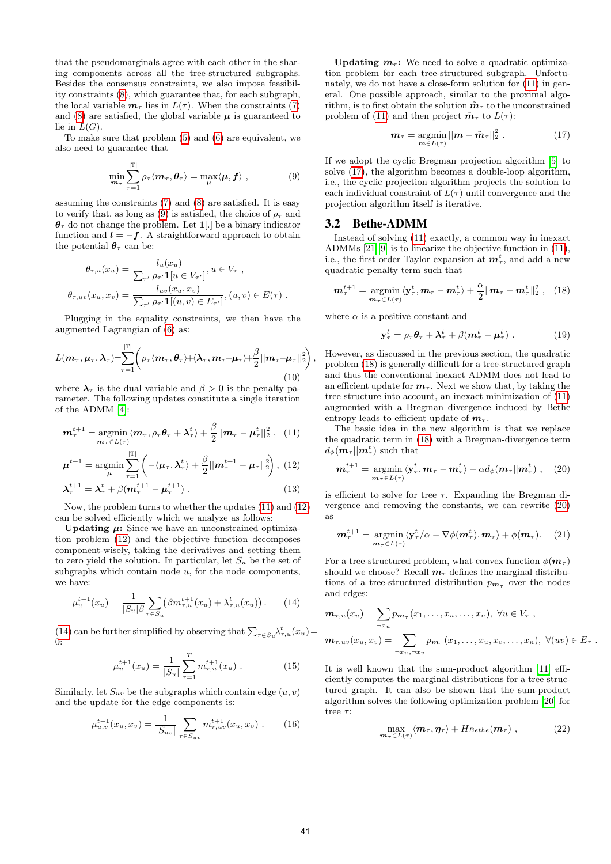that the pseudomarginals agree with each other in the sharing components across all the tree-structured subgraphs. Besides the consensus constraints, we also impose feasibility constraints [\(8\)](#page-1-7), which guarantee that, for each subgraph, the local variable  $m_\tau$  lies in  $L(\tau)$ . When the constraints [\(7\)](#page-1-6) and [\(8\)](#page-1-7) are satisfied, the global variable  $\mu$  is guaranteed to lie in  $L(G)$ .

To make sure that problem [\(5\)](#page-1-5) and [\(6\)](#page-1-8) are equivalent, we also need to guarantee that

<span id="page-2-0"></span>
$$
\min_{\mathbf{m}_{\tau}} \sum_{\tau=1}^{|\mathbb{T}|} \rho_{\tau} \langle \mathbf{m}_{\tau}, \boldsymbol{\theta}_{\tau} \rangle = \max_{\boldsymbol{\mu}} \langle \boldsymbol{\mu}, \boldsymbol{f} \rangle , \qquad (9)
$$

assuming the constraints [\(7\)](#page-1-6) and [\(8\)](#page-1-7) are satisfied. It is easy to verify that, as long as [\(9\)](#page-2-0) is satisfied, the choice of  $\rho_{\tau}$  and  $\theta_{\tau}$  do not change the problem. Let 1. be a binary indicator function and  $\mathbf{l} = -\mathbf{f}$ . A straightforward approach to obtain the potential  $\theta_{\tau}$  can be:

$$
\theta_{\tau,u}(x_u) = \frac{l_u(x_u)}{\sum_{\tau'} \rho_{\tau'} \mathbf{1}[u \in V_{\tau'}]}, u \in V_{\tau},
$$
  

$$
\theta_{\tau,uv}(x_u, x_v) = \frac{l_{uv}(x_u, x_v)}{\sum_{\tau'} \rho_{\tau'} \mathbf{1}[(u, v) \in E_{\tau'}]}, (u, v) \in E(\tau).
$$

Plugging in the equality constraints, we then have the augmented Lagrangian of [\(6\)](#page-1-8) as:

$$
L(\boldsymbol{m}_{\tau}, \boldsymbol{\mu}_{\tau}, \boldsymbol{\lambda}_{\tau}) = \sum_{\tau=1}^{|\mathbb{T}|} \left( \rho_{\tau} \langle \boldsymbol{m}_{\tau}, \boldsymbol{\theta}_{\tau} \rangle + \langle \boldsymbol{\lambda}_{\tau}, \boldsymbol{m}_{\tau} - \boldsymbol{\mu}_{\tau} \rangle + \frac{\beta}{2} || \boldsymbol{m}_{\tau} - \boldsymbol{\mu}_{\tau} ||_2^2 \right) \tag{10}
$$

where  $\lambda_{\tau}$  is the dual variable and  $\beta > 0$  is the penalty parameter. The following updates constitute a single iteration of the ADMM [\[4\]](#page-7-8):

$$
\boldsymbol{m}_{\tau}^{t+1} = \operatorname*{argmin}_{\boldsymbol{m}_{\tau} \in L(\tau)} \langle \boldsymbol{m}_{\tau}, \rho_{\tau} \boldsymbol{\theta}_{\tau} + \boldsymbol{\lambda}_{\tau}^{t} \rangle + \frac{\beta}{2} || \boldsymbol{m}_{\tau} - \boldsymbol{\mu}_{\tau}^{t} ||_{2}^{2} , \quad (11)
$$

$$
\boldsymbol{\mu}^{t+1} = \operatorname*{argmin}_{\boldsymbol{\mu}} \sum_{\tau=1}^{|\mathbb{T}|} \left( -\langle \boldsymbol{\mu}_{\tau}, \boldsymbol{\lambda}_{\tau}^{t} \rangle + \frac{\beta}{2} || \boldsymbol{m}_{\tau}^{t+1} - \boldsymbol{\mu}_{\tau} ||_2^2 \right), \tag{12}
$$

$$
\lambda_{\tau}^{t+1} = \lambda_{\tau}^{t} + \beta (m_{\tau}^{t+1} - \mu_{\tau}^{t+1}). \tag{13}
$$

Now, the problem turns to whether the updates [\(11\)](#page-2-1) and [\(12\)](#page-2-2) can be solved efficiently which we analyze as follows:

Updating  $\mu$ : Since we have an unconstrained optimization problem [\(12\)](#page-2-2) and the objective function decomposes component-wisely, taking the derivatives and setting them to zero yield the solution. In particular, let  $S_u$  be the set of subgraphs which contain node  $u$ , for the node components, we have:

<span id="page-2-3"></span>
$$
\mu_u^{t+1}(x_u) = \frac{1}{|S_u| \beta} \sum_{\tau \in S_u} (\beta m_{\tau,u}^{t+1}(x_u) + \lambda_{\tau,u}^t(x_u)). \tag{14}
$$

[\(14\)](#page-2-3) can be further simplified by observing that  $\sum_{\tau \in S_u} \lambda_{\tau,u}^t(x_u) =$  $\theta$ :

$$
\mu_u^{t+1}(x_u) = \frac{1}{|S_u|} \sum_{\tau=1}^T m_{\tau,u}^{t+1}(x_u) . \tag{15}
$$

Similarly, let  $S_{uv}$  be the subgraphs which contain edge  $(u, v)$ and the update for the edge components is:

$$
\mu_{u,v}^{t+1}(x_u, x_v) = \frac{1}{|S_{uv}|} \sum_{\tau \in S_{uv}} m_{\tau,uv}^{t+1}(x_u, x_v) . \tag{16}
$$

Updating  $m_{\tau}$ : We need to solve a quadratic optimization problem for each tree-structured subgraph. Unfortunately, we do not have a close-form solution for [\(11\)](#page-2-1) in general. One possible approach, similar to the proximal algorithm, is to first obtain the solution  $\tilde{\mathbf{m}}_{\tau}$  to the unconstrained problem of [\(11\)](#page-2-1) and then project  $\tilde{\boldsymbol{m}}_{\tau}$  to  $L(\tau)$ :

<span id="page-2-4"></span>
$$
\boldsymbol{m}_{\tau} = \operatorname*{argmin}_{\boldsymbol{m} \in L(\tau)} ||\boldsymbol{m} - \tilde{\boldsymbol{m}}_{\tau}||_2^2 . \qquad (17)
$$

If we adopt the cyclic Bregman projection algorithm [\[5\]](#page-7-13) to solve [\(17\)](#page-2-4), the algorithm becomes a double-loop algorithm, i.e., the cyclic projection algorithm projects the solution to each individual constraint of  $L(\tau)$  until convergence and the projection algorithm itself is iterative.

#### 3.2 Bethe-ADMM

,

Instead of solving [\(11\)](#page-2-1) exactly, a common way in inexact ADMMs [\[21,](#page-7-14) [9\]](#page-7-15) is to linearize the objective function in [\(11\)](#page-2-1), i.e., the first order Taylor expansion at  $m_{\tau}^t$ , and add a new quadratic penalty term such that

$$
\boldsymbol{m}_{\tau}^{t+1} = \operatorname*{argmin}_{\boldsymbol{m}_{\tau} \in L(\tau)} \langle \mathbf{y}_{\tau}^{t}, \boldsymbol{m}_{\tau} - \boldsymbol{m}_{\tau}^{t} \rangle + \frac{\alpha}{2} || \boldsymbol{m}_{\tau} - \boldsymbol{m}_{\tau}^{t} ||_{2}^{2} , \quad (18)
$$

where  $\alpha$  is a positive constant and

<span id="page-2-9"></span><span id="page-2-5"></span>
$$
\mathbf{y}_{\tau}^{t} = \rho_{\tau} \boldsymbol{\theta}_{\tau} + \boldsymbol{\lambda}_{\tau}^{t} + \beta (\boldsymbol{m}_{\tau}^{t} - \boldsymbol{\mu}_{\tau}^{t}). \qquad (19)
$$

However, as discussed in the previous section, the quadratic problem [\(18\)](#page-2-5) is generally difficult for a tree-structured graph and thus the conventional inexact ADMM does not lead to an efficient update for  $m_{\tau}$ . Next we show that, by taking the tree structure into account, an inexact minimization of [\(11\)](#page-2-1) augmented with a Bregman divergence induced by Bethe entropy leads to efficient update of  $m_{\tau}$ .

<span id="page-2-2"></span><span id="page-2-1"></span>The basic idea in the new algorithm is that we replace the quadratic term in [\(18\)](#page-2-5) with a Bregman-divergence term  $d_{\phi}(\boldsymbol{m}_\tau||\boldsymbol{m}^t_\tau)$  such that

<span id="page-2-6"></span>
$$
\boldsymbol{m}_{\tau}^{t+1} = \operatorname*{argmin}_{\boldsymbol{m}_{\tau} \in L(\tau)} \langle \mathbf{y}_{\tau}^{t}, \boldsymbol{m}_{\tau} - \boldsymbol{m}_{\tau}^{t} \rangle + \alpha d_{\phi}(\boldsymbol{m}_{\tau} || \boldsymbol{m}_{\tau}^{t}), \quad (20)
$$

is efficient to solve for tree  $\tau$ . Expanding the Bregman divergence and removing the constants, we can rewrite [\(20\)](#page-2-6) as

<span id="page-2-7"></span>
$$
\boldsymbol{m}_{\tau}^{t+1} = \operatorname*{argmin}_{\boldsymbol{m}_{\tau} \in L(\tau)} \langle \mathbf{y}_{\tau}^{t} / \alpha - \nabla \phi(\boldsymbol{m}_{\tau}^{t}), \boldsymbol{m}_{\tau} \rangle + \phi(\boldsymbol{m}_{\tau}). \quad (21)
$$

For a tree-structured problem, what convex function  $\phi(\mathbf{m}_{\tau})$ should we choose? Recall  $m<sub>\tau</sub>$  defines the marginal distributions of a tree-structured distribution  $p_{m_{\tau}}$  over the nodes and edges:

$$
\mathbf{m}_{\tau,u}(x_u) = \sum_{\tau x_u} p_{\mathbf{m}_{\tau}}(x_1,\ldots,x_u,\ldots,x_n), \ \forall u \in V_{\tau},
$$
\n
$$
\mathbf{m}_{\tau,uv}(x_u,x_v) = \sum_{\tau x_u,\tau x_v} p_{\mathbf{m}_{\tau}}(x_1,\ldots,x_u,x_v,\ldots,x_n), \ \forall (uv) \in E_{\tau}.
$$

It is well known that the sum-product algorithm [\[11\]](#page-7-10) efficiently computes the marginal distributions for a tree structured graph. It can also be shown that the sum-product algorithm solves the following optimization problem [\[20\]](#page-7-0) for tree  $\tau$ :

<span id="page-2-8"></span>
$$
\max_{\boldsymbol{m}_{\tau}\in L(\tau)} \langle \boldsymbol{m}_{\tau}, \boldsymbol{\eta}_{\tau} \rangle + H_{Bethe}(\boldsymbol{m}_{\tau}), \qquad (22)
$$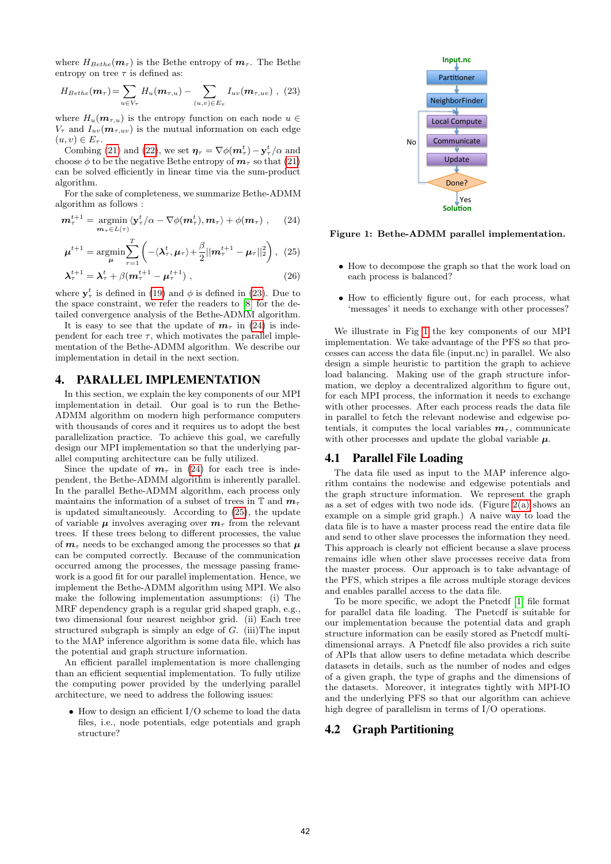where  $H_{Bethe}(\mathbf{m}_{\tau})$  is the Bethe entropy of  $\mathbf{m}_{\tau}$ . The Bethe entropy on tree  $\tau$  is defined as:

<span id="page-3-1"></span>
$$
H_{Bethe}(\boldsymbol{m}_{\tau}) = \sum_{u \in V_{\tau}} H_u(\boldsymbol{m}_{\tau,u}) - \sum_{(u,v) \in E_{\tau}} I_{uv}(\boldsymbol{m}_{\tau,uv}) , (23)
$$

where  $H_u(\mathbf{m}_{\tau,u})$  is the entropy function on each node  $u \in$  $V_{\tau}$  and  $I_{uv}(\mathbf{m}_{\tau,uv})$  is the mutual information on each edge  $(u, v) \in E_{\tau}$ .

Combing [\(21\)](#page-2-7) and [\(22\)](#page-2-8), we set  $\eta_{\tau} = \nabla \phi(m_{\tau}^{t}) - y_{\tau}^{t}/\alpha$  and choose  $\phi$  to be the negative Bethe entropy of  $m_\tau$  so that [\(21\)](#page-2-7) can be solved efficiently in linear time via the sum-product algorithm.

For the sake of completeness, we summarize Bethe-ADMM algorithm as follows :

$$
\boldsymbol{m}_{\tau}^{t+1} = \operatorname*{argmin}_{\boldsymbol{m}_{\tau} \in L(\tau)} \langle \mathbf{y}_{\tau}^{t} / \alpha - \nabla \phi(\boldsymbol{m}_{\tau}^{t}), \boldsymbol{m}_{\tau} \rangle + \phi(\boldsymbol{m}_{\tau}), \qquad (24)
$$

$$
\boldsymbol{\mu}^{t+1} = \operatorname*{argmin}_{\boldsymbol{\mu}} \sum_{\tau=1}^{T} \left( -\langle \boldsymbol{\lambda}_{\tau}^{t}, \boldsymbol{\mu}_{\tau} \rangle + \frac{\beta}{2} || \boldsymbol{m}_{\tau}^{t+1} - \boldsymbol{\mu}_{\tau} ||_2^2 \right), \tag{25}
$$

$$
\lambda_{\tau}^{t+1} = \lambda_{\tau}^{t} + \beta (m_{\tau}^{t+1} - \mu_{\tau}^{t+1}), \qquad (26)
$$

where  $y_{\tau}^{t}$  is defined in [\(19\)](#page-2-9) and  $\phi$  is defined in [\(23\)](#page-3-1). Due to the space constraint, we refer the readers to [\[8\]](#page-7-7) for the detailed convergence analysis of the Bethe-ADMM algorithm.

It is easy to see that the update of  $m<sub>\tau</sub>$  in [\(24\)](#page-3-2) is independent for each tree  $\tau$ , which motivates the parallel implementation of the Bethe-ADMM algorithm. We describe our implementation in detail in the next section.

#### <span id="page-3-0"></span>4. PARALLEL IMPLEMENTATION

In this section, we explain the key components of our MPI implementation in detail. Our goal is to run the Bethe-ADMM algorithm on modern high performance computers with thousands of cores and it requires us to adopt the best parallelization practice. To achieve this goal, we carefully design our MPI implementation so that the underlying parallel computing architecture can be fully utilized.

Since the update of  $m<sub>\tau</sub>$  in [\(24\)](#page-3-2) for each tree is independent, the Bethe-ADMM algorithm is inherently parallel. In the parallel Bethe-ADMM algorithm, each process only maintains the information of a subset of trees in  $\mathbb T$  and  $m_{\tau}$ is updated simultaneously. According to [\(25\)](#page-3-3), the update of variable  $\mu$  involves averaging over  $m<sub>\tau</sub>$  from the relevant trees. If these trees belong to different processes, the value of  $m<sub>\tau</sub>$  needs to be exchanged among the processes so that  $\mu$ can be computed correctly. Because of the communication occurred among the processes, the message passing framework is a good fit for our parallel implementation. Hence, we implement the Bethe-ADMM algorithm using MPI. We also make the following implementation assumptions: (i) The MRF dependency graph is a regular grid shaped graph, e.g., two dimensional four nearest neighbor grid. (ii) Each tree structured subgraph is simply an edge of  $G$ . (iii)The input to the MAP inference algorithm is some data file, which has the potential and graph structure information.

An efficient parallel implementation is more challenging than an efficient sequential implementation. To fully utilize the computing power provided by the underlying parallel architecture, we need to address the following issues:

• How to design an efficient I/O scheme to load the data files, i.e., node potentials, edge potentials and graph structure?



<span id="page-3-4"></span><span id="page-3-3"></span><span id="page-3-2"></span>Figure 1: Bethe-ADMM parallel implementation.

- How to decompose the graph so that the work load on each process is balanced?
- How to efficiently figure out, for each process, what 'messages' it needs to exchange with other processes?

We illustrate in Fig [1](#page-3-4) the key components of our MPI implementation. We take advantage of the PFS so that processes can access the data file (input.nc) in parallel. We also design a simple heuristic to partition the graph to achieve load balancing. Making use of the graph structure information, we deploy a decentralized algorithm to figure out, for each MPI process, the information it needs to exchange with other processes. After each process reads the data file in parallel to fetch the relevant nodewise and edgewise potentials, it computes the local variables  $m<sub>\tau</sub>$ , communicate with other processes and update the global variable  $\mu$ .

#### 4.1 Parallel File Loading

The data file used as input to the MAP inference algorithm contains the nodewise and edgewise potentials and the graph structure information. We represent the graph as a set of edges with two node ids. (Figure [2\(a\)](#page-5-0) shows an example on a simple grid graph.) A naive way to load the data file is to have a master process read the entire data file and send to other slave processes the information they need. This approach is clearly not efficient because a slave process remains idle when other slave processes receive data from the master process. Our approach is to take advantage of the PFS, which stripes a file across multiple storage devices and enables parallel access to the data file.

To be more specific, we adopt the Pnetcdf [\[1\]](#page-7-16) file format for parallel data file loading. The Pnetcdf is suitable for our implementation because the potential data and graph structure information can be easily stored as Pnetcdf multidimensional arrays. A Pnetcdf file also provides a rich suite of APIs that allow users to define metadata which describe datasets in details, such as the number of nodes and edges of a given graph, the type of graphs and the dimensions of the datasets. Moreover, it integrates tightly with MPI-IO and the underlying PFS so that our algorithm can achieve high degree of parallelism in terms of I/O operations.

#### 4.2 Graph Partitioning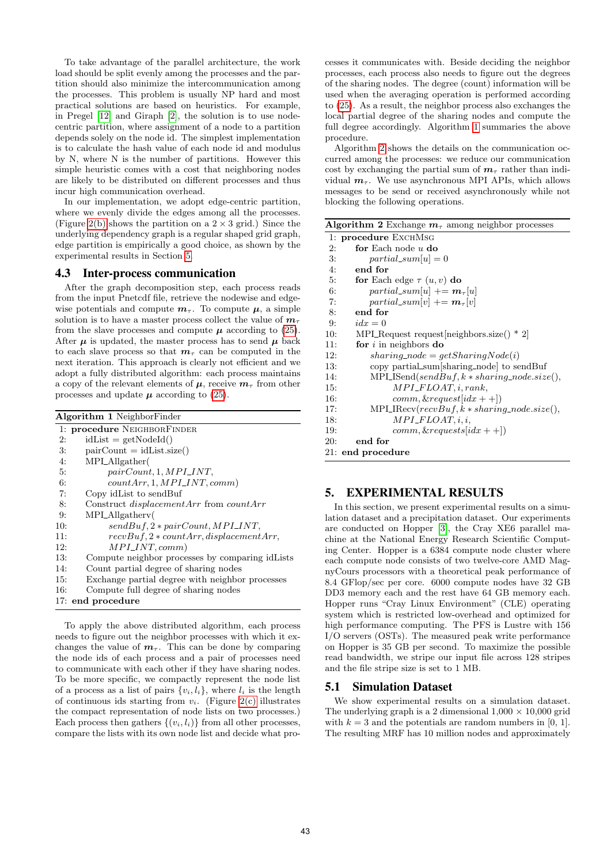To take advantage of the parallel architecture, the work load should be split evenly among the processes and the partition should also minimize the intercommunication among the processes. This problem is usually NP hard and most practical solutions are based on heuristics. For example, in Pregel [\[12\]](#page-7-17) and Giraph [\[2\]](#page-7-18), the solution is to use nodecentric partition, where assignment of a node to a partition depends solely on the node id. The simplest implementation is to calculate the hash value of each node id and modulus by N, where N is the number of partitions. However this simple heuristic comes with a cost that neighboring nodes are likely to be distributed on different processes and thus incur high communication overhead.

In our implementation, we adopt edge-centric partition, where we evenly divide the edges among all the processes. (Figure [2\(b\)](#page-5-1) shows the partition on a  $2 \times 3$  grid.) Since the underlying dependency graph is a regular shaped grid graph, edge partition is empirically a good choice, as shown by the experimental results in Section [5.](#page-4-0)

#### 4.3 Inter-process communication

After the graph decomposition step, each process reads from the input Pnetcdf file, retrieve the nodewise and edgewise potentials and compute  $m_{\tau}$ . To compute  $\mu$ , a simple solution is to have a master process collect the value of  $m<sub>\tau</sub>$ from the slave processes and compute  $\mu$  according to [\(25\)](#page-3-3). After  $\mu$  is updated, the master process has to send  $\mu$  back to each slave process so that  $m<sub>\tau</sub>$  can be computed in the next iteration. This approach is clearly not efficient and we adopt a fully distributed algorithm: each process maintains a copy of the relevant elements of  $\mu$ , receive  $m<sub>\tau</sub>$  from other processes and update  $\mu$  according to [\(25\)](#page-3-3).

<span id="page-4-1"></span>

| <b>Algorithm 1 NeighborFinder</b> |                                                       |
|-----------------------------------|-------------------------------------------------------|
|                                   | 1: procedure NEIGHBORFINDER                           |
| 2:                                | $idList = getNodeId()$                                |
| 3:                                | $pairCount = idList.size()$                           |
| 4:                                | MPLAllgather                                          |
| 5:                                | $pairCount, 1, MPI\_INT,$                             |
| 6:                                | $countArr, 1, MPI\_INT, comm)$                        |
| 7:                                | Copy idList to sendBuf                                |
| 8:                                | Construct <i>displacementArr</i> from <i>countArr</i> |
| 9:                                | MPLAllgathery                                         |
| 10:                               | $sendBuf, 2 * pairCount, MPI\_INT,$                   |
| 11:                               | $recvBuf, 2 * countArr, displacement Arr,$            |
| 12:                               | $MPI\_INT, comm)$                                     |
| 13:                               | Compute neighbor processes by comparing idLists       |
| 14:                               | Count partial degree of sharing nodes                 |
| 15:                               | Exchange partial degree with neighbor processes       |
| 16:                               | Compute full degree of sharing nodes                  |
|                                   | 17: end procedure                                     |

To apply the above distributed algorithm, each process needs to figure out the neighbor processes with which it exchanges the value of  $m_\tau$ . This can be done by comparing the node ids of each process and a pair of processes need to communicate with each other if they have sharing nodes. To be more specific, we compactly represent the node list of a process as a list of pairs  $\{v_i, l_i\}$ , where  $l_i$  is the length of continuous ids starting from  $v_i$ . (Figure [2\(c\)](#page-5-2) illustrates the compact representation of node lists on two processes.) Each process then gathers  $\{(v_i, l_i)\}\$ from all other processes, compare the lists with its own node list and decide what processes it communicates with. Beside deciding the neighbor processes, each process also needs to figure out the degrees of the sharing nodes. The degree (count) information will be used when the averaging operation is performed according to [\(25\)](#page-3-3). As a result, the neighbor process also exchanges the local partial degree of the sharing nodes and compute the full degree accordingly. Algorithm [1](#page-4-1) summaries the above procedure.

Algorithm [2](#page-4-2) shows the details on the communication occurred among the processes: we reduce our communication cost by exchanging the partial sum of  $m<sub>\tau</sub>$  rather than individual  $m_\tau$ . We use asynchronous MPI APIs, which allows messages to be send or received asynchronously while not blocking the following operations.

<span id="page-4-2"></span>

| <b>Algorithm 2</b> Exchange $m\tau$ among neighbor processes |  |
|--------------------------------------------------------------|--|
| 1: procedure EXCHMSG                                         |  |
| for Each node $u$ do<br>2:                                   |  |
| 3:<br>$partial\_sum[u] = 0$                                  |  |
| 4:<br>end for                                                |  |
| 5:<br>for Each edge $\tau(u, v)$ do                          |  |
| $partial\_sum[u] += m_{\tau}[u]$<br>6:                       |  |
| 7:<br>$partial\_sum[v] += m_{\tau}[v]$                       |  |
| end for<br>8:                                                |  |
| 9:<br>$idx = 0$                                              |  |
| MPL Request request neighbors size() * 2<br>10:              |  |
| for $i$ in neighbors do<br>11:                               |  |
| 12:<br>$sharing\_node = qetSharingNode(i)$                   |  |
| copy partial_sum[sharing_node] to sendBuf<br>13:             |  |
| $MPI\_ISend(sendBuf, k * sharing\_node.size(),$<br>14:       |  |
| $MPI\_FLOAT, i, rank,$<br>15:                                |  |
| $comm, \& request[idx + 1])$<br>16:                          |  |
| $MPI\_IRecv(recvBuf, k * sharing\_node.size(),$<br>17:       |  |
| $MPI\_FLOAT, i, i,$<br>18:                                   |  |
| $comm, \& requests[idx + 1]$<br>19:                          |  |
| end for<br>20:                                               |  |
| 21: end procedure                                            |  |

## <span id="page-4-0"></span>5. EXPERIMENTAL RESULTS

In this section, we present experimental results on a simulation dataset and a precipitation dataset. Our experiments are conducted on Hopper [\[3\]](#page-7-19), the Cray XE6 parallel machine at the National Energy Research Scientific Computing Center. Hopper is a 6384 compute node cluster where each compute node consists of two twelve-core AMD MagnyCours processors with a theoretical peak performance of 8.4 GFlop/sec per core. 6000 compute nodes have 32 GB DD3 memory each and the rest have 64 GB memory each. Hopper runs "Cray Linux Environment" (CLE) operating system which is restricted low-overhead and optimized for high performance computing. The PFS is Lustre with 156 I/O servers (OSTs). The measured peak write performance on Hopper is 35 GB per second. To maximize the possible read bandwidth, we stripe our input file across 128 stripes and the file stripe size is set to 1 MB.

## 5.1 Simulation Dataset

We show experimental results on a simulation dataset. The underlying graph is a 2 dimensional  $1,000 \times 10,000$  grid with  $k = 3$  and the potentials are random numbers in [0, 1]. The resulting MRF has 10 million nodes and approximately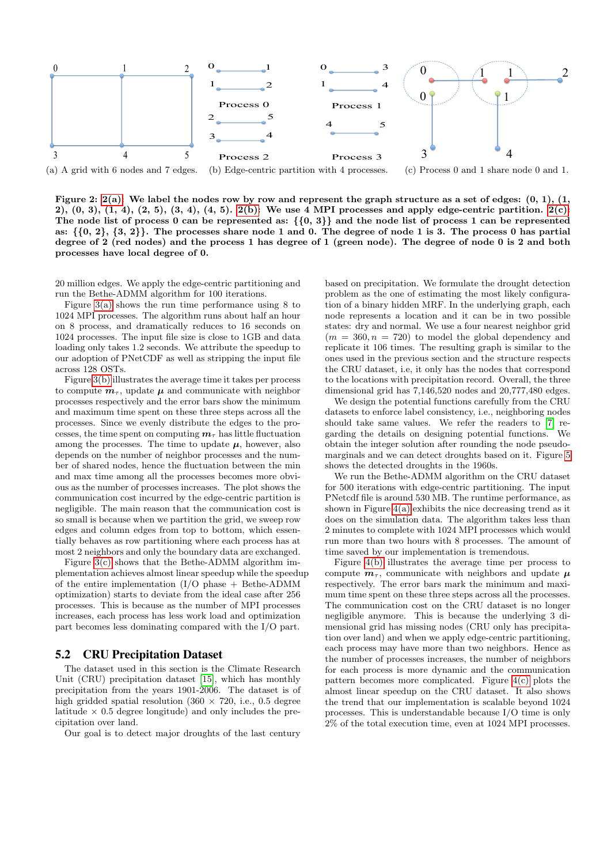

<span id="page-5-1"></span><span id="page-5-0"></span>Figure 2:  $2(a)$ : We label the nodes row by row and represent the graph structure as a set of edges:  $(0, 1)$ ,  $(1, 1)$ 2),  $(0, 3)$ ,  $(1, 4)$ ,  $(2, 5)$ ,  $(3, 4)$ ,  $(4, 5)$ .  $2(b)$ : We use 4 MPI processes and apply edge-centric partition.  $2(c)$ : The node list of process 0 can be represented as: *{{*0, 3*}}* and the node list of process 1 can be represented as: *{{*0, 2*}*, *{*3, 2*}}*. The processes share node 1 and 0. The degree of node 1 is 3. The process 0 has partial degree of 2 (red nodes) and the process 1 has degree of 1 (green node). The degree of node 0 is 2 and both processes have local degree of 0.

20 million edges. We apply the edge-centric partitioning and run the Bethe-ADMM algorithm for 100 iterations.

Figure  $3(a)$  shows the run time performance using 8 to 1024 MPI processes. The algorithm runs about half an hour on 8 process, and dramatically reduces to 16 seconds on 1024 processes. The input file size is close to 1GB and data loading only takes 1.2 seconds. We attribute the speedup to our adoption of PNetCDF as well as stripping the input file across 128 OSTs.

Figure [3\(b\)](#page-6-1) illustrates the average time it takes per process to compute  $m_{\tau}$ , update  $\mu$  and communicate with neighbor processes respectively and the error bars show the minimum and maximum time spent on these three steps across all the processes. Since we evenly distribute the edges to the processes, the time spent on computing  $m<sub>\tau</sub>$  has little fluctuation among the processes. The time to update  $\mu$ , however, also depends on the number of neighbor processes and the number of shared nodes, hence the fluctuation between the min and max time among all the processes becomes more obvious as the number of processes increases. The plot shows the communication cost incurred by the edge-centric partition is negligible. The main reason that the communication cost is so small is because when we partition the grid, we sweep row edges and column edges from top to bottom, which essentially behaves as row partitioning where each process has at most 2 neighbors and only the boundary data are exchanged.

Figure [3\(c\)](#page-6-2) shows that the Bethe-ADMM algorithm implementation achieves almost linear speedup while the speedup of the entire implementation  $(I/O$  phase  $+$  Bethe-ADMM optimization) starts to deviate from the ideal case after 256 processes. This is because as the number of MPI processes increases, each process has less work load and optimization part becomes less dominating compared with the I/O part.

#### 5.2 CRU Precipitation Dataset

The dataset used in this section is the Climate Research Unit (CRU) precipitation dataset [\[15\]](#page-7-20), which has monthly precipitation from the years 1901-2006. The dataset is of high gridded spatial resolution (360  $\times$  720, i.e., 0.5 degree latitude  $\times$  0.5 degree longitude) and only includes the precipitation over land.

Our goal is to detect major droughts of the last century

<span id="page-5-2"></span>based on precipitation. We formulate the drought detection problem as the one of estimating the most likely configuration of a binary hidden MRF. In the underlying graph, each node represents a location and it can be in two possible states: dry and normal. We use a four nearest neighbor grid  $(m = 360, n = 720)$  to model the global dependency and replicate it 106 times. The resulting graph is similar to the ones used in the previous section and the structure respects the CRU dataset, i.e, it only has the nodes that correspond to the locations with precipitation record. Overall, the three dimensional grid has 7,146,520 nodes and 20,777,480 edges.

We design the potential functions carefully from the CRU datasets to enforce label consistency, i.e., neighboring nodes should take same values. We refer the readers to [\[7\]](#page-7-21) regarding the details on designing potential functions. We obtain the integer solution after rounding the node pseudomarginals and we can detect droughts based on it. Figure [5](#page-6-3) shows the detected droughts in the 1960s.

We run the Bethe-ADMM algorithm on the CRU dataset for 500 iterations with edge-centric partitioning. The input PNetcdf file is around 530 MB. The runtime performance, as shown in Figure  $4(a)$  exhibits the nice decreasing trend as it does on the simulation data. The algorithm takes less than 2 minutes to complete with 1024 MPI processes which would run more than two hours with 8 processes. The amount of time saved by our implementation is tremendous.

Figure [4\(b\)](#page-6-5) illustrates the average time per process to compute  $m_{\tau}$ , communicate with neighbors and update  $\mu$ respectively. The error bars mark the minimum and maximum time spent on these three steps across all the processes. The communication cost on the CRU dataset is no longer negligible anymore. This is because the underlying 3 dimensional grid has missing nodes (CRU only has precipitation over land) and when we apply edge-centric partitioning, each process may have more than two neighbors. Hence as the number of processes increases, the number of neighbors for each process is more dynamic and the communication pattern becomes more complicated. Figure [4\(c\)](#page-6-6) plots the almost linear speedup on the CRU dataset. It also shows the trend that our implementation is scalable beyond 1024 processes. This is understandable because I/O time is only 2% of the total execution time, even at 1024 MPI processes.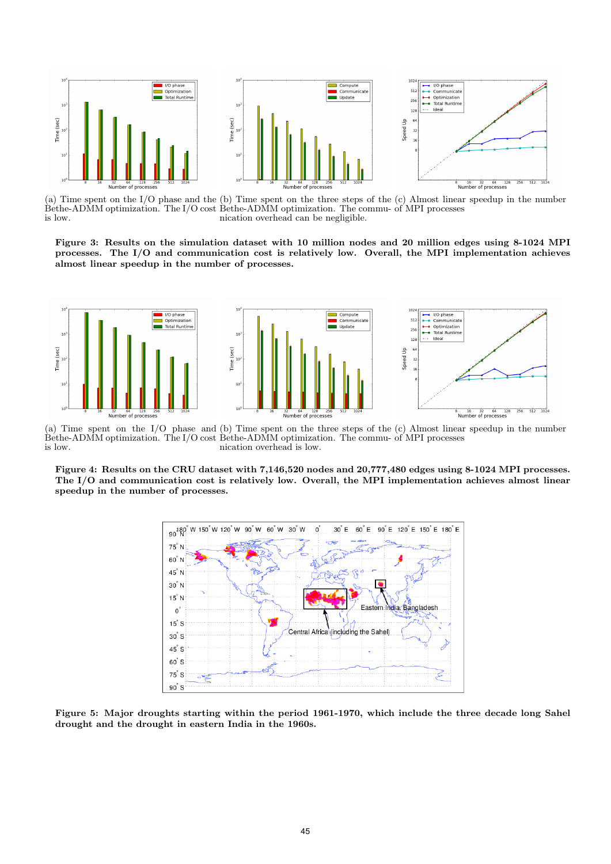

<span id="page-6-0"></span>(a) Time spent on the I/O phase and the Bethe-ADMM optimization. The I/O cost is low. (b) Time spent on the three steps of the Bethe-ADMM optimization. The communication overhead can be negligible. (c) Almost linear speedup in the number of MPI processes

<span id="page-6-2"></span><span id="page-6-1"></span>Figure 3: Results on the simulation dataset with 10 million nodes and 20 million edges using 8-1024 MPI processes. The I/O and communication cost is relatively low. Overall, the MPI implementation achieves almost linear speedup in the number of processes.



<span id="page-6-4"></span>(a) Time spent on the I/O phase and (b) Time spent on the three steps of the (c) Almost linear speedup in the number Bethe-ADMM optimization. The I/O cost Bethe-ADMM optimization. The commu- of MPI processes is low. nication overhead is low.

Figure 4: Results on the CRU dataset with 7,146,520 nodes and 20,777,480 edges using 8-1024 MPI processes. The I/O and communication cost is relatively low. Overall, the MPI implementation achieves almost linear speedup in the number of processes.

<span id="page-6-6"></span><span id="page-6-5"></span>

<span id="page-6-3"></span>Figure 5: Major droughts starting within the period 1961-1970, which include the three decade long Sahel drought and the drought in eastern India in the 1960s.